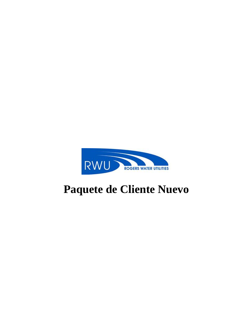

# **Paquete de Cliente Nuevo**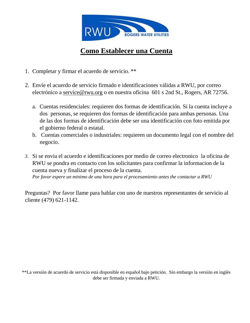

## **Como Establecer una Cuenta**

- 1. Completar y firmar el acuerdo de servicio. \*\*
- 2. Envíe el acuerdo de servicio firmado e identificaciones válidas a RWU, por correo electrónico a service@rwu.org o en nuestra oficina 601 s 2nd St., Rogers, AR 72756.
	- a. Cuentas residenciales: requieren dos formas de identificación. Si la cuenta incluye a dos personas, se requieren dos formas de identificación para ambas personas. Una de las dos formas de identificación debe ser una identificación con foto emitida por el gobierno federal o estatal.
	- b. Cuentas comerciales o industriales: requieren un documento legal con el nombre del negocio.
- *3.* Si se envia el acuerdo e identificaciones por medio de correo electronico la oficina de RWU se pondra en contacto con los solicitantes para confirmar la informacion de la cuenta nueva y finalizar el proceso de la cuenta. *Por favor espere un minimo de una hora para el procesamiento antes the contactar a RWU*

Preguntas? Por favor llame para hablar con uno de nuestros representantes de servicio al cliente (479) 621-1142.

\*\*La versión de acuerdo de servicio está disponible en español bajo petición. Sin embargo la versión en inglés debe ser firmada y enviada a RWU.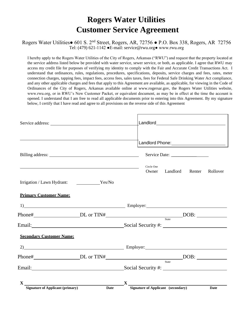## **Rogers Water Utilities Customer Service Agreement**

#### Rogers Water Utilities● 601 S. 2nd Street, Rogers, AR, 72756 ● P.O. Box 338, Rogers, AR 72756 Tel: (479) 621-1142 ●E-mail: service@rwu.org● www.rwu.org

I hereby apply to the Rogers Water Utilities of the City of Rogers, Arkansas ("RWU") and request that the property located at the service address listed below be provided with water service, sewer service, or both, as applicable. I agree that RWU may access my credit file for purposes of verifying my identity to comply with the Fair and Accurate Credit Transactions Act. I understand that ordinances, rules, regulations, procedures, specifications, deposits, service charges and fees, rates, meter connection charges, tapping fees, impact fees, access fees, sales taxes, fees for Federal Safe Drinking Water Act compliance, and any other applicable charges and fees that apply to this Agreement are available, as applicable, for viewing in the Code of Ordinances of the City of Rogers, Arkansas available online at www.rogersar.gov, the Rogers Water Utilities website, www.rwu.org, or in RWU's New Customer Packet, or equivalent document, as may be in effect at the time the account is opened. I understand that I am free to read all applicable documents prior to entering into this Agreement. By my signature below, I certify that I have read and agree to all provisions on the reverse side of this Agreement

| X<br>Signature of Applicant (primary) Da     | <b>Date</b> | $\frac{X}{X}$ Signature of Applicant (secondary) |                     |          |        | Date     |
|----------------------------------------------|-------------|--------------------------------------------------|---------------------|----------|--------|----------|
|                                              |             |                                                  |                     |          |        |          |
|                                              |             |                                                  |                     |          |        |          |
|                                              |             |                                                  |                     | State    |        |          |
|                                              |             |                                                  |                     |          |        |          |
| $2)$ Employer:                               |             |                                                  |                     |          |        |          |
| <b>Secondary Customer Name:</b>              |             |                                                  |                     |          |        |          |
|                                              |             |                                                  |                     |          |        |          |
|                                              |             |                                                  |                     |          |        |          |
| 1) Employer: Employer:                       |             |                                                  |                     |          |        |          |
| <b>Primary Customer Name:</b>                |             |                                                  |                     |          |        |          |
| Irrigation / Lawn Hydrant: Yes/No            |             |                                                  |                     |          |        |          |
| <u> 1989 - Jan Salaman Salaman (j. 1989)</u> |             |                                                  | Circle One<br>Owner | Landlord | Renter | Rollover |
|                                              |             |                                                  |                     |          |        |          |
|                                              |             |                                                  |                     |          |        |          |
|                                              |             |                                                  |                     |          |        |          |
|                                              |             |                                                  |                     |          |        |          |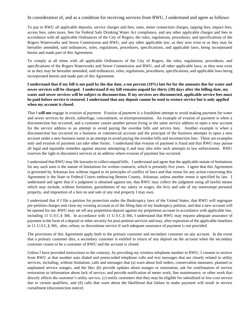In consideration of, and as a condition for receiving services from RWU, I understand and agree as follows:

To pay to RWU all applicable deposits, service charges and fees, rates, meter connection charges, tapping fees, impact fees, access fees, sales taxes, fees for Federal Safe Drinking Water Act compliance, and any other applicable charges and fees in accordance with all applicable Ordinances of the City of Rogers, the rules, regulations, procedures, and specifications of the Rogers Waterworks and Sewer Commission and RWU, and any other applicable law, as they now exist or as they may be hereafter amended, said ordinances, rules, regulations, procedures, specifications, and applicable laws, being incorporated herein and made part of this Agreement.

To comply at all times with all applicable Ordinances of the City of Rogers, the rules, regulations, procedures, and specifications of the Rogers Waterworks and Sewer Commission and RWU, and all other applicable laws, as they now exist or as they may be hereafter amended, said ordinances, rules, regulations, procedures, specifications, and applicable laws being incorporated herein and made part of this Agreement.

**I understand that if my bill is not paid by the due date, a ten percent (10%) late fee for the amounts due for water and sewer services will be charged. I understand if my bill remains unpaid for thirty (30) days after the billing date, my water and sewer services will be subject to disconnection. If my services are disconnected, applicable service fees must be paid before service is restored. I understand that any deposit cannot be used to restore service but is only applied when my account is closed.**

That I **will not** engage in *evasion of payment*. *Evasion of payment* is a fraudulent attempt to avoid making payment for water and sewer services by deceit, subterfuge, concealment, or misrepresentation. An example of evasion of payment is when a disconnection has occurred, and a customer causes another person living at the same service address to open a new account for the service address in an attempt to avoid paying the overdue bills and service fees. Another example is when a disconnection has occurred on a business or commercial account and the principal of the business attempts to open a new account under a new business name in an attempt to avoid paying the overdue bills and reconnection fees. These are examples only and evasion of payment can take other forms. I understand that evasion of payment is fraud and that RWU may pursue all legal and equitable remedies against anyone attempting it and may also refer such attempts to law enforcement. RWU reserves the right to disconnect services at an address where evasion of payment has occurred.

I understand that RWU may file lawsuits to collect unpaid bills. I understand and agree that the applicable statute of limitations for any such suits is the statute of limitations for written contracts, which is presently five years. I agree that this Agreement is governed by Arkansas law without regard to its principles of conflict of laws and that venue for any action concerning this Agreement is the State or Federal Courts embracing Benton County, Arkansas, unless another venue is specified by law. I understand and agree that if a judgment is obtained against me, that RWU may collect the judgment using all lawful means which may include, without limitation, garnishment of my salary or wages, the levy and sale of my nonexempt personal property, and imposition of a lien on and sale of any real property I may own.

I understand that if I file a petition for protection under the Bankruptcy laws of the United States, that RWU will segregate pre-petition charges and close my existing account as of the filing date of my bankruptcy petition, and that a new account will be opened for me. RWU may set off any prepetition deposit against my prepetition account in accordance with applicable law, including 11 U.S.C.§ 366. In accordance with 11 U.S.C.§ 366, I understand that RWU may request adequate assurance of payment in the form of a deposit or other security for post-petition services and may, after expiration of the applicable timelines in 11 U.S.C.§ 366, alter, refuse, or discontinue service if such adequate assurance of payment is not provided.

The provisions of this Agreement apply both to the primary customer and secondary customer on any account. In the event that a primary customer dies, a secondary customer is entitled to return of any deposit on the account when the secondary customer ceases to be a customer of RWU and the account is closed.

Unless I have provided instructions to the contrary, by providing my wireless telephone number to RWU, I consent to receive from RWU at that number auto dialed and prerecorded telephone calls and text messages that are closely related to utility services, including, without limitation, calls and messages that (a) warn about boil orders, conservation measures, planned or unplanned service outages, and the like; (b) provide updates about outages or restoration, ask for confirmation of service restoration or information about lack of service, and provide notification of meter work, line maintenance, or other work that directly affects the customer's utility service, (c) notify customers that they may be eligible for subsidized or low-cost service due to certain qualifiers, and (d) calls that warn about the likelihood that failure to make payment will result in service curtailment (disconnection notice)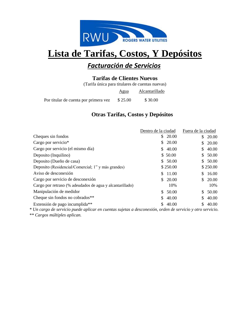

## **Lista de Tarifas, Costos, Y Depósitos**

### *Facturación de Servicios*

#### **Tarifas de Clientes Nuevos**

(Tarifa única para titulares de cuentas nuevas)

|                                       | <u>Agua</u> | Alcantarillado |
|---------------------------------------|-------------|----------------|
| Por titular de cuenta por primera vez | \$25.00     | \$30.00        |

#### **Otras Tarifas, Costos y Depósitos**

|                                                          | Dentro de la ciudad |          | Fuera de la ciudad |          |
|----------------------------------------------------------|---------------------|----------|--------------------|----------|
| Cheques sin fondos                                       | S.                  | 20.00    | S.                 | 20.00    |
| Cargo por servicio*                                      | \$                  | 20.00    | \$                 | 20.00    |
| Cargo por servicio (el mismo día)                        |                     | \$40.00  | \$                 | 40.00    |
| Deposito (Inquilino)                                     |                     | \$50.00  | \$                 | 50.00    |
| Deposito (Dueño de casa)                                 |                     | \$50.00  | \$                 | 50.00    |
| Deposito (Residencial/Comercial; 1" y más grandes)       |                     | \$250.00 |                    | \$250.00 |
| Aviso de desconexión                                     | S.                  | 11.00    | \$                 | 16.00    |
| Cargo por servicio de desconexión                        | S.                  | 20.00    | S.                 | 20.00    |
| Cargo por retraso (% adeudados de agua y alcantarillado) |                     | 10%      |                    | 10%      |
| Manipulación de medidor                                  | \$                  | 50.00    | \$                 | 50.00    |
| Cheque sin fondos no cobrados <sup>**</sup>              | S.                  | 40.00    | \$                 | 40.00    |
| Extensión de pago incumplida <sup>**</sup>               |                     | 40.00    | S                  | 40.00    |
|                                                          |                     |          |                    |          |

*\* Un cargo de servicio puede aplicar en cuentas sujetas a desconexión, orden de servicio y otro servicio.*

*\*\* Cargos múltiples aplican.*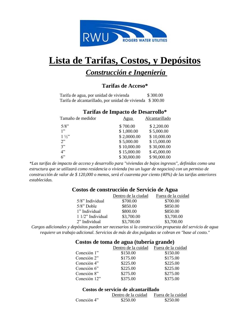

## **Lista de Tarifas, Costos, y Depósitos**

### *Construcción e Ingeniería*

#### **Tarifas de Acceso\***

 Tarifa de agua, por unidad de vivienda \$ 300.00 Tarifa de alcantarillado, por unidad de vivienda \$ 300.00

#### **Tarifas de Impacto de Desarrollo\***

| Tamaño de medidor | <u>Agua</u> | Alcantarillado |
|-------------------|-------------|----------------|
| $5/8$ "           | \$700.00    | \$2,200.00     |
| 1"                | \$1,000.00  | \$5,000.00     |
| $1\frac{1}{2}$    | \$2,0000.00 | \$10,000.00    |
| 2                 | \$5,000.00  | \$15,000.00    |
| 3"                | \$10,000.00 | \$30,000.00    |
| 4"                | \$15,000.00 | \$45,000.00    |
| 6"                | \$30,000.00 | \$90,000.00    |

*\*Las tarifas de impacto de acceso y desarrollo para "viviendas de bajos ingresos", definidas como una estructura que se utilizará como residencia o vivienda (no un lugar de negocios) con un permiso de construcción de valor de \$ 120,000 o menos, será el cuarenta por ciento (40%) de las tarifas anteriores establecidas.*

#### **Costos de construcción de Servicio de Agua**

|                     | Dentro de la ciudad | Fuera de la cuidad |
|---------------------|---------------------|--------------------|
| 5/8" Individual     | \$700.00            | \$700.00           |
| $5/8$ " Doble       | \$850.00            | \$850.00           |
| 1" Individual       | \$800.00            | \$850.00           |
| $11/2$ " Individual | \$3,700.00          | \$3,700.00         |
| 2" Individual       | \$3,700.00          | \$3,700.00         |

*Cargos adicionales y depósitos pueden ser necesarios si la construcción propuesta del servicio de agua requiere un trabajo adicional. Servicios de más de dos pulgadas se cobran en "base al costo."*

|              | Costos de toma de agua (tubería grande) |          |  |  |
|--------------|-----------------------------------------|----------|--|--|
|              | Dentro de la cuidad Fuera de la cuidad  |          |  |  |
| Conexión 1"  | \$150.00                                | \$150.00 |  |  |
| Conexión 2"  | \$175.00                                | \$175.00 |  |  |
| Conexión 4"  | \$225.00                                | \$225.00 |  |  |
| Conexión 6"  | \$225.00                                | \$225.00 |  |  |
| Conexión 8"  | \$275.00                                | \$275.00 |  |  |
| Conexión 12" | \$375.00                                | \$375.00 |  |  |

#### **Costos de servicio de alcantarillado**

|             | Dentro de la cuidad | Fuera de la cuidad |
|-------------|---------------------|--------------------|
| Conexión 4" | \$250.00            | \$250.00           |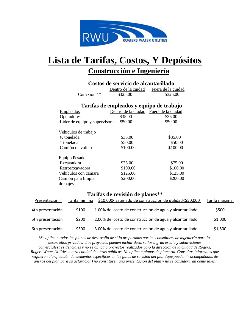

## **Lista de Tarifas, Costos, Y Depósitos Construcción e Ingeniería**

#### **Costos de servicio de alcantarillado** Dentro de la cuidad Fuera de la cuidad Conexión 4" \$325.00 \$325.00 **Tarifas de empleados y equipo de trabajo** Empleados Dentro de la ciudad Fuera de la ciudad Operadores \$35.00 \$35.00 Líder de equipo y supervisores \$50.00 \$50.00 Vehículos de trabajo <sup>1</sup>/<sub>2</sub> tonelada \$35.00 \$35.00 1 tonelada  $$50.00$  \$50.00 Camión de volteo  $$100.00$  \$100.00 Equipo Pesado Excavadora \$75.00 \$75.00 Retroexcavadora \$100.00 \$100.00 Vehículos con cámara  $$125.00$   $$125.00$ Camión para limpiar  $$200.00$  \$200.00 drenajes

#### **Tarifas de revisión de planes\*\***

| Presentación #   | Tarifa mínima | \$10,000 <estimado construcción="" de="" th="" utilidad<\$50,000<=""><th>Tarifa máxima</th></estimado> | Tarifa máxima |
|------------------|---------------|--------------------------------------------------------------------------------------------------------|---------------|
| 4th presentación | \$100         | 1.00% del costo de construcción de agua y alcantarillado                                               | \$500         |
| 5th presentación | \$200         | 2.00% del costo de construcción de agua y alcantarillado                                               | \$1,000       |
| 6th presentación | \$300         | 3.00% del costo de construcción de agua y alcantarillado                                               | \$1,500       |

*\*Se aplica a todos los planos de desarrollo de sitio preparados por los consultores de ingeniería para los desarrollos privados. Los proyectos pueden incluir desarrollos a gran escala y subdivisiones comerciales/residenciales y no se aplica a proyectos realizados bajo la dirección de la ciudad de Rogers, Rogers Water Utilities u otra entidad de obras públicas. No aplica a planos de plomería. Consultas informales que requieren clarificación de elementos específicos en las guías de revisión del plan (que pueden ir acompañadas de anexos del plan para su aclaración) no constituyen una presentación del plan y no se consideraran como tales.*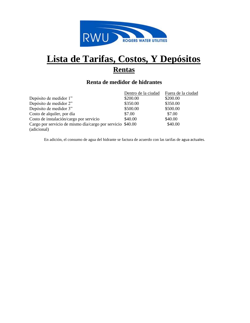

## **Lista de Tarifas, Costos, Y Depósitos Rentas**

#### **Renta de medidor de hidrantes**

|                                                                           | Dentro de la ciudad | Fuera de la ciudad |
|---------------------------------------------------------------------------|---------------------|--------------------|
| Depósito de medidor 1"                                                    | \$200.00            | \$200.00           |
| Depósito de medidor 2"                                                    | \$350.00            | \$350.00           |
| Depósito de medidor 3"                                                    | \$500.00            | \$500.00           |
| Costo de alquiler, por día                                                | \$7.00              | \$7.00             |
| Costo de instalación/cargo por servicio                                   | \$40.00             | \$40.00            |
| Cargo por servicio de mismo día/cargo por servicio \$40.00<br>(adicional) |                     | \$40.00            |
|                                                                           |                     |                    |

En adición, el consumo de agua del hidrante se factura de acuerdo con las tarifas de agua actuales.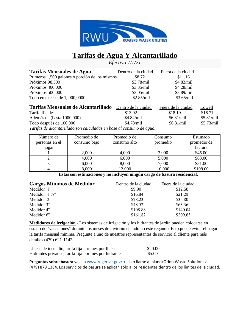

## **Tarifas de Agua Y Alcantarillado**

*Efectivo 7/1/21*

| Tarifas Mensuales de Agua                      | Dentro de la ciudad | Fuera de la ciudad |              |
|------------------------------------------------|---------------------|--------------------|--------------|
| Primeros 1,500 galones o porción de los mismos | \$8.72              | \$11.16            |              |
| Próximos 98,500                                | $$3.78$ /mil        | $$4.82$ /mil       |              |
| Próximos 400,000                               | \$3.35/min          | $$4.28$ /mil       |              |
| Próximos 500,000                               | \$3.05/min          | $$3.89$ /mil       |              |
| Todo en exceso de 1,000,0000                   | \$2.85/min          | \$3.65/mil         |              |
| Tarifas Mensuales de Alcantarillado            | Dentro de la ciudad | Fuera de la ciudad | Lowell       |
| Tarifa fija de                                 | \$13.92             | \$18.19            | \$16.71      |
| Además de (hasta 1000,000)                     | $$4.84$ /mil        | \$6.31/min         | \$5.81/mil   |
| Todo después de 100,000                        | $$4.78$ /mil        | \$6.31/min         | $$5.73$ /mil |

*Tarifas de alcantarillado son calculadas en base al consumo de agua.*

| Número de<br>personas en el | Promedio de<br>consumo bajo | Promedio de<br>consumo alto | Consumo<br>promedio | Estimado<br>promedio de |
|-----------------------------|-----------------------------|-----------------------------|---------------------|-------------------------|
| hogar                       |                             |                             |                     | factura                 |
|                             | 2,000                       | 4,000                       | 3,000               | \$45.00                 |
|                             | 4,000                       | 6,000                       | 5,000               | \$63.00                 |
|                             | 6,000                       | 8,000                       | 7,000               | \$81.00                 |
|                             | 8,000                       | 12,000                      | 10,000              | \$108.00                |

**Estas son estimaciones y no incluyen ningún cargo de basura residencial.**

| Cargos Mínimos de Medidor | Dentro de la ciudad | Fuera de la ciudad |
|---------------------------|---------------------|--------------------|
| Medidor 1"                | \$9.90              | \$12.58            |
| Medidor $1\frac{1}{2}$ "  | \$16.84             | \$21.29            |
| Medidor 2"                | \$28.23             | \$35.80            |
| Medidor 3"                | \$48.52             | \$63.36            |
| Medidor 4"                | \$108.88            | \$140.04           |
| Medidor $6$ "             | \$161.82            | \$209.63           |

**Medidores de irrigación** - Los sistemas de irrigación y los hidrantes de jardín pueden colocarse en estado de "vacaciones" durante los meses de invierno cuando no esté regando. Esto puede evitar el pagar la tarifa mensual mínima. Pregunte a uno de nuestros representantes de servicio al cliente para más detalles (479) 621-1142.

| Líneas de incendio, tarifa fija por mes por línea.   | \$20.00 |
|------------------------------------------------------|---------|
| Hidrantes privados, tarifa fija por mes por hidrante | \$5.00  |

**Preguntas sobre basura** valla a [www.rogersar.gov/trash](http://www.rogersar.gov/trash) o llame a Inland/Orion Waste Solutions al (479) 878 1384. Los servicios de basura se aplican solo a los residentes dentro de los límites de la ciudad.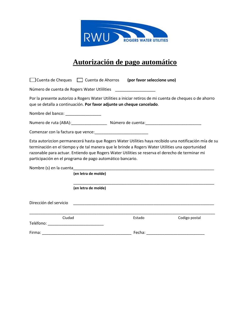

## **Autorización de pago automático**

|                                                   | □ Cuenta de Cheques □ Cuenta de Ahorros (por favor seleccione uno)                                                                                                                                                                                              |        |                                                                                                         |
|---------------------------------------------------|-----------------------------------------------------------------------------------------------------------------------------------------------------------------------------------------------------------------------------------------------------------------|--------|---------------------------------------------------------------------------------------------------------|
|                                                   | Número de cuenta de Rogers Water Utlilities                                                                                                                                                                                                                     |        |                                                                                                         |
|                                                   | que se detalla a continuación. Por favor adjunte un cheque cancelado.                                                                                                                                                                                           |        | Por la presente autorizo a Rogers Water Utilities a iniciar retiros de mi cuenta de cheques o de ahorro |
|                                                   |                                                                                                                                                                                                                                                                 |        |                                                                                                         |
|                                                   |                                                                                                                                                                                                                                                                 |        |                                                                                                         |
|                                                   |                                                                                                                                                                                                                                                                 |        |                                                                                                         |
|                                                   | terminación en el tiempo y de tal manera que le brinde a Rogers Water Utilities una oportunidad<br>razonable para actuar. Entiendo que Rogers Water Utilities se reserva el derecho de terminar mi<br>participación en el programa de pago automático bancario. |        | Esta autorizcion permanecerá hasta que Rogers Water Utilities haya recibido una notificación mía de su  |
|                                                   | (en letra de molde)                                                                                                                                                                                                                                             |        |                                                                                                         |
|                                                   | (en letra de molde)                                                                                                                                                                                                                                             |        |                                                                                                         |
| Dirección del servicio                            |                                                                                                                                                                                                                                                                 |        |                                                                                                         |
| Ciudad<br>Teléfono: _____________________________ |                                                                                                                                                                                                                                                                 | Estado | Codigo postal                                                                                           |
|                                                   |                                                                                                                                                                                                                                                                 | Fecha: |                                                                                                         |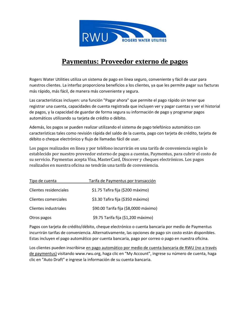

### **Paymentus: Proveedor externo de pagos**

Rogers Water Utilities utiliza un sistema de pago en línea seguro, conveniente y fácil de usar para nuestros clientes. La interfaz proporciona beneficios a los clientes, ya que les permite pagar sus facturas más rápido, más fácil, de manera más conveniente y segura.

Las características incluyen: una función "Pagar ahora" que permite el pago rápido sin tener que registrar una cuenta, capacidades de cuenta registrada que incluyen ver y pagar cuentas y ver el historial de pagos, y la capacidad de guardar de forma segura su información de pago y programar pagos automáticos utilizando su tarjeta de crédito o débito.

Además, los pagos se pueden realizar utilizando el sistema de pago telefónico automático con características tales como revisión rápida del saldo de la cuenta, pago con tarjeta de crédito, tarjeta de débito o cheque electrónico y flujo de llamadas fácil de usar.

Los pagos realizados en línea y por teléfono incurrirán en una tarifa de conveniencia según lo establecido por nuestro proveedor externo de pagos a cuentas, Paymentus, para cubrir el costo de su servicio. Paymentus acepta Visa, MasterCard, Discover y cheques electrónicos. Los pagos realizados en nuestra oficina no tendrán una tarifa de conveniencia.

| Tipo de cuenta         | Tarifa de Paymentus por transacción   |  |
|------------------------|---------------------------------------|--|
| Clientes residenciales | \$1.75 Tafira fija (\$200 máximo)     |  |
| Clientes comerciales   | \$3.30 Tafira fija (\$350 máximo)     |  |
| Clientes industriales  | \$90.00 Tarifa fija (\$8,0000 máximo) |  |
| Otros pagos            | \$9.75 Tarifa fija (\$1,200 máximo)   |  |

Pagos con tarjeta de crédito/débito, cheque electrónico o cuenta bancaria por medio de Paymentus incurrirán tarifas de conveniencia. Alternativamente, las opciones de pago sin costo están disponibles. Estas incluyen el pago automático por cuenta bancaria, pago por correo o pago en nuestra oficina.

Los clientes pueden inscribirse en pago automático por medio de cuenta bancaria de RWU (no a través de paymentus) visitando www.rwu.org, haga clic en "My Account", ingrese su número de cuenta, haga clic en "Auto Draft" e ingrese la información de su cuenta bancaria.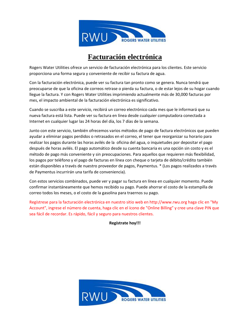

### **Facturación electrónica**

Rogers Water Utilities ofrece un servicio de facturación electrónica para los clientes. Este servicio proporciona una forma segura y conveniente de recibir su factura de agua.

Con la facturación electrónica, puede ver su factura tan pronto como se genera. Nunca tendrá que preocuparse de que la oficina de correos retrase o pierda su factura, o de estar lejos de su hogar cuando llegue la factura. Y con Rogers Water Utilities imprimiendo actualmente más de 30,000 facturas por mes, el impacto ambiental de la facturación electrónica es significativo.

Cuando se suscriba a este servicio, recibirá un correo electrónico cada mes que le informará que su nueva factura está lista. Puede ver su factura en línea desde cualquier computadora conectada a Internet en cualquier lugar las 24 horas del día, los 7 días de la semana.

Junto con este servicio, también ofrecemos varios métodos de pago de factura electrónicos que pueden ayudar a eliminar pagos perdidos o retrasados en el correo, el tener que reorganizar su horario para realizar los pagos durante las horas avilés de la oficina del agua, o inquietudes por depositar el pago después de horas avilés. El pago automático desde su cuenta bancaria es una opción sin costo y es el método de pago más conveniente y sin preocupaciones. Para aquellos que requieren más flexibilidad, los pagos por teléfono y el pago de facturas en línea con cheque o tarjeta de débito/crédito también están disponibles a través de nuestro proveedor de pagos, Paymentus. \* (Los pagos realizados a través de Paymentus incurrirán una tarifa de conveniencia).

Con estos servicios combinados, puede ver y pagar su factura en línea en cualquier momento. Puede confirmar instantáneamente que hemos recibido su pago. Puede ahorrar el costo de la estampilla de correo todos los meses, o el costo de la gasolina para traernos su pago.

Regístrese para la facturación electrónica en nuestro sitio web en http://www.rwu.org haga clic en "My Account", ingrese el número de cuenta, haga clic en el ícono de "Online Billing" y cree una clave PIN que sea fácil de recordar. Es rápido, fácil y seguro para nuestros clientes.

**Regístrate hoy!!!**